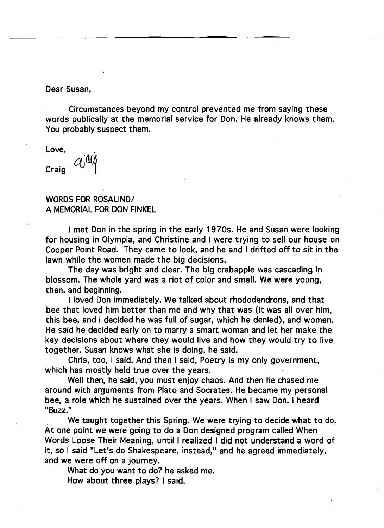*bear* Susan,

Circumstances beyond my control prevented me from saying these words publically at the memorial service for Don. He already knows them. You probably suspect them.

Love,

Craig

WORDS FOR ROSALIND/ A MEMORIAL FOR DON FINKEL

I met Don in the spring in the early 1970s. He and Susan were looking for housing in Olympia, and Christine and I were trying to sell our house on Cooper Point Road. They came to look, and he and I drifted off to sit in the lawn while the women made the big decisions.

The day was bright and clear. The big crabapple was cascading in blossom. The whole yard was a riot of color and smell. We were young, then, and beginning.

I loved Don immediately. We talked about rhododendrons, and that bee that loved him better than me and why that was (it was all over him, this bee, and I decided he was full of sugar, which he denied), and women. He said he decided early on to marry a smart woman and let her make the key decisions about where they would live and how they would try to live together. Susan knows what she is doing, he said.

Chris, too, I said. And then I said, Poetry is my only government, which has mostly held true over the years.

Well then, he said, you must enjoy chaos. And then he chased me around with arguments from Plato and Socrates. He became my personal bee, a role which he sustained over the years. When I saw Don, I heard "Buzz."

We taught together this Spring. We were trying to decide what to do. At one point we were going to do a Don designed program called When Words Loose Their Meaning, until I realized I did not understand a word of it, so I said "Let's do Shakespeare, instead," and he agreed immediately, and we were off on a journey.

What do you want to do? he asked me. How about three plays? I said.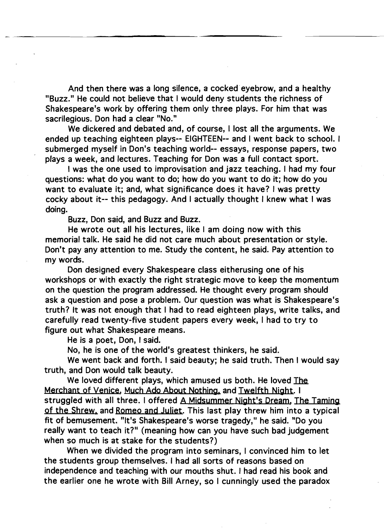And then there was a long silence, a cocked eyebrow, and a healthy "Buzz." He could not believe that I would deny students the richness of Shakespeare's work by offering them only three plays. For him that was sacrilegious. Don had a clear "No."

We dickered and debated and, of course, I lost all the arguments. We ended up teaching eighteen plays-- EIGHTEEN-- and I went back to school. I submerged myself in Don's teaching world-- essays, response papers, two plays a week, and lectures. Teaching for Don was a full contact sport.

I was the one used to improvisation and jazz teaching. I had my four questions: what do you want to do; how do you want to do it; how do you want to evaluate it; and, what significance does it have? I was pretty cocky about it-- this pedagogy. And I actually thought I knew what I was doing.

Buzz, Don said, and Buzz and Buzz.

He wrote out all his lectures, like I am doing now with this memorial talk. He said he did not care much about presentation or style. Don't pay any attention to me. Study the content, he said. Pay attention to my words.

Don designed every Shakespeare class eitherusing one of his workshops or with exactly the right strategic move to keep the momentum on the question the program addressed. He thought every program should ask a question and pose a problem. Our question was what is Shakespeare's truth? It was not enough that I had to read eighteen plays, write talks, and carefully read twenty-five student papers every week, I had to try to figure out what Shakespeare means.

He is a poet, Don, I said.

No, he is one of the world's greatest thinkers, he said.

We went back and forth. I said beauty; he said truth. Then I would say truth, and Don would talk beauty.

We loved different plays, which amused us both. He loved The Merchant of Venice, Much Ado About Nothing, and Twelfth Night. I struggled with all three. I offered A Midsummer Night's Dream, The Taming of the Shrew, and Romeo and Juliet. This last play threw him into a typical fit of bemusement. "It's Shakespeare's worse tragedy," he said. "Do you really want to teach it?" (meaning how can you have such bad judgement when so much is at stake for the students?)

When we divided the program into seminars, I convinced him to let the students group themselves. I had all sorts of reasons based on independence and teaching with our mouths shut. I had read his book and the earlier one he wrote with Bill Arney, so I cunningly used the paradox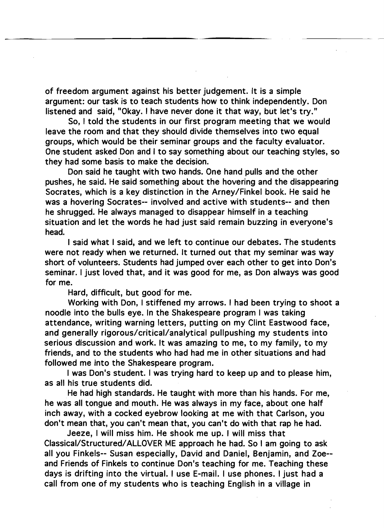of freedom argument against his better judgement. It is a simple argument: our task is to teach students how to think independently. Don listened and said, "Okay. I have never done it that way, but let's try."

So, I told the students in our first program meeting that we would leave the room and that they should divide themselves into two equal groups, which would be their seminar groups and the faculty evaluator. One student asked Don and I to say something about our teaching styles, so they had some basis to make the decision.

Don said he taught with two hands. One hand pulls and the other pushes, he said. He said something about the hovering and the disappearing Socrates, which is a key distinction in the Arney/Finkel book. He said he was a hovering Socrates-- involved and active with students-- and then he shrugged. He always managed to disappear himself in a teaching situation and let the words he had just said remain buzzing in everyone's head.

I said what I said, and we left to continue our debates. The students were not ready when we returned. It turned out that my seminar was way short of volunteers. Students had jumped over each other to get into Don's seminar. I just loved that, and it was good for me, as Don always was good for me.

Hard, difficult, but good' for me.

Working with Don, I stiffened my arrows. I had been trying to shoot a noodle into the bulls eye. In the Shakespeare program I was taking attendance, writing warning letters, putting on my Clint Eastwood face, and generally rigorous/critical/analytical pullpushing my students into serious discussion and work. It was amazing to me, to my family, to my friends, and to the students who had had me in other situations and had followed me into the Shakespeare program.

I was Don's student. I was trying hard to keep up and to please him, as all his true students did.

.He had high standards. He taught with more than his hands. For me, he was all tongue and mouth. He was always in my face, about one half inch away, with a cocked eyebrow looking at me with that Carlson, you don't mean that, you can't mean that, you can't do with that rap he had.

Jeeze, I will miss him. He shook me up. I will miss that Classical/Structured/ALLOVER ME approach he had. So I am going to ask all you Finkels-- Susan especially, David and Daniel, Benjamin, and Zoe and Friends of Finkels to continue Don's teaching for me. Teaching these days is drifting into the virtual. I use E-mail. I use phones. I just had a call from one of my students who is teaching English in a village in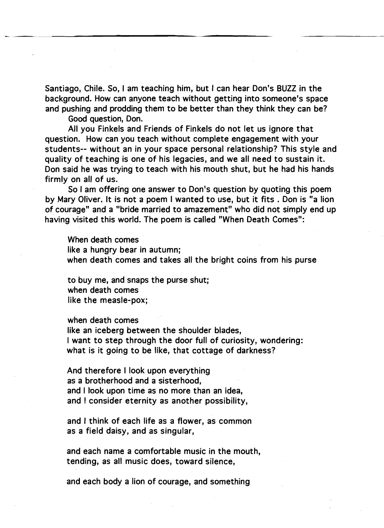Santiago, Chile. So, I am teaching him, but I can hear Don's BUZZ in the background. How can anyone teach without getting into someone's space and pushing and prodding them to be better than they think they can be?

Good question, Don.

All you Finkels and Friends of Finkels do not let us ignore that question. How can you teach without complete engagement with your students-- without an in your space personal relationship? This style and quality of teaching is one of his legacies, and we all need to sustain it. Don said he was trying to teach with his mouth shut, but he had his hands firmly on all of us.

So I am offering one answer to Don's question by quoting this poem by Mary Oliver. It is not a poem I wanted to use, but it fits. Don is "a lion of courage" and a "bride married to amazement" who did not simply end up having visited this world. The poem is called "When Death Comes":

When death comes like a hungry bear in autumn; when death comes and takes all the bright coins from his purse

to buy me, and snaps the purse shut; when death comes like the measle-pox;

when death comes

like an iceberg between the shoulder blades, I want to step through the door full of curiosity, wondering: what is it going to be like, that cottage of darkness?

And therefore I look upon everything as a brotherhood and a sisterhood, and I look upon time as no more than an idea, and I consider eternity as another possibility,

and I think of each life as a flower, as common as a field daisy, and as singular,

and each name a comfortable music in the mouth, tending, as all music does, toward silence,

and each body a lion of courage, and something